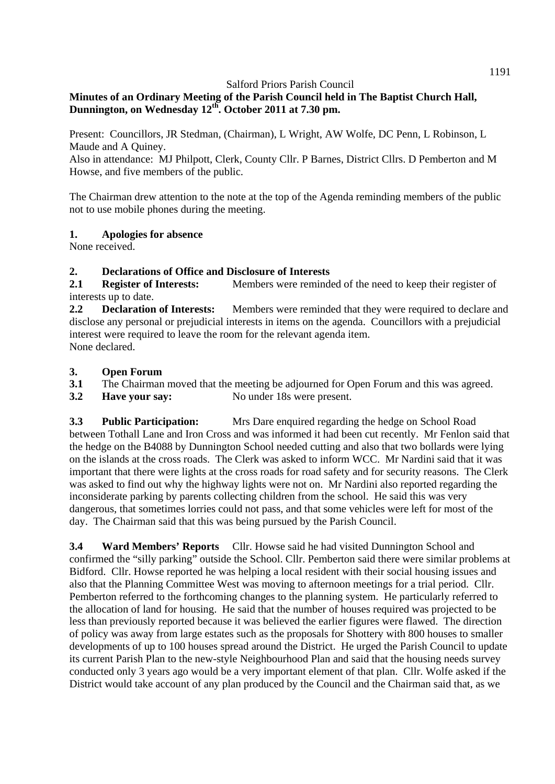# **Minutes of an Ordinary Meeting of the Parish Council held in The Baptist Church Hall, Dunnington, on Wednesday 12th. October 2011 at 7.30 pm.**

Present: Councillors, JR Stedman, (Chairman), L Wright, AW Wolfe, DC Penn, L Robinson, L Maude and A Quiney.

Also in attendance: MJ Philpott, Clerk, County Cllr. P Barnes, District Cllrs. D Pemberton and M Howse, and five members of the public.

The Chairman drew attention to the note at the top of the Agenda reminding members of the public not to use mobile phones during the meeting.

## **1. Apologies for absence**

None received.

## **2. Declarations of Office and Disclosure of Interests**

2.1 **Register of Interests:** Members were reminded of the need to keep their register of interests up to date.

**2.2 Declaration of Interests:** Members were reminded that they were required to declare and disclose any personal or prejudicial interests in items on the agenda. Councillors with a prejudicial interest were required to leave the room for the relevant agenda item. None declared.

### **3. Open Forum**

- **3.1** The Chairman moved that the meeting be adjourned for Open Forum and this was agreed.
- **3.2 Have your say:** No under 18s were present.

**3.3 Public Participation:** Mrs Dare enquired regarding the hedge on School Road between Tothall Lane and Iron Cross and was informed it had been cut recently. Mr Fenlon said that the hedge on the B4088 by Dunnington School needed cutting and also that two bollards were lying on the islands at the cross roads. The Clerk was asked to inform WCC. Mr Nardini said that it was important that there were lights at the cross roads for road safety and for security reasons. The Clerk was asked to find out why the highway lights were not on. Mr Nardini also reported regarding the inconsiderate parking by parents collecting children from the school. He said this was very dangerous, that sometimes lorries could not pass, and that some vehicles were left for most of the day. The Chairman said that this was being pursued by the Parish Council.

**3.4 Ward Members' Reports** Cllr. Howse said he had visited Dunnington School and confirmed the "silly parking" outside the School. Cllr. Pemberton said there were similar problems at Bidford. Cllr. Howse reported he was helping a local resident with their social housing issues and also that the Planning Committee West was moving to afternoon meetings for a trial period. Cllr. Pemberton referred to the forthcoming changes to the planning system. He particularly referred to the allocation of land for housing. He said that the number of houses required was projected to be less than previously reported because it was believed the earlier figures were flawed. The direction of policy was away from large estates such as the proposals for Shottery with 800 houses to smaller developments of up to 100 houses spread around the District. He urged the Parish Council to update its current Parish Plan to the new-style Neighbourhood Plan and said that the housing needs survey conducted only 3 years ago would be a very important element of that plan. Cllr. Wolfe asked if the District would take account of any plan produced by the Council and the Chairman said that, as we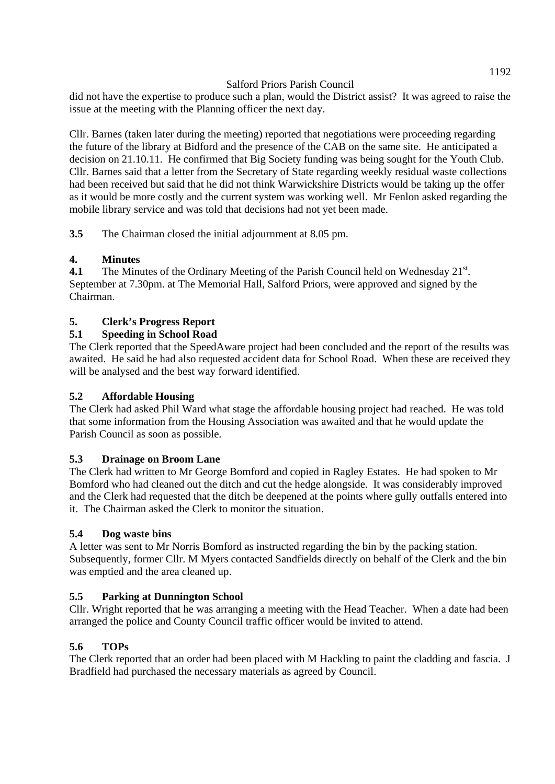did not have the expertise to produce such a plan, would the District assist? It was agreed to raise the issue at the meeting with the Planning officer the next day.

Cllr. Barnes (taken later during the meeting) reported that negotiations were proceeding regarding the future of the library at Bidford and the presence of the CAB on the same site. He anticipated a decision on 21.10.11. He confirmed that Big Society funding was being sought for the Youth Club. Cllr. Barnes said that a letter from the Secretary of State regarding weekly residual waste collections had been received but said that he did not think Warwickshire Districts would be taking up the offer as it would be more costly and the current system was working well. Mr Fenlon asked regarding the mobile library service and was told that decisions had not yet been made.

**3.5** The Chairman closed the initial adjournment at 8.05 pm.

## **4. Minutes**

**4.1** The Minutes of the Ordinary Meeting of the Parish Council held on Wednesday  $21^{st}$ . September at 7.30pm. at The Memorial Hall, Salford Priors, were approved and signed by the Chairman.

## **5. Clerk's Progress Report**

## **5.1 Speeding in School Road**

The Clerk reported that the SpeedAware project had been concluded and the report of the results was awaited. He said he had also requested accident data for School Road. When these are received they will be analysed and the best way forward identified.

## **5.2 Affordable Housing**

The Clerk had asked Phil Ward what stage the affordable housing project had reached. He was told that some information from the Housing Association was awaited and that he would update the Parish Council as soon as possible.

### **5.3 Drainage on Broom Lane**

The Clerk had written to Mr George Bomford and copied in Ragley Estates. He had spoken to Mr Bomford who had cleaned out the ditch and cut the hedge alongside. It was considerably improved and the Clerk had requested that the ditch be deepened at the points where gully outfalls entered into it. The Chairman asked the Clerk to monitor the situation.

### **5.4 Dog waste bins**

A letter was sent to Mr Norris Bomford as instructed regarding the bin by the packing station. Subsequently, former Cllr. M Myers contacted Sandfields directly on behalf of the Clerk and the bin was emptied and the area cleaned up.

### **5.5 Parking at Dunnington School**

Cllr. Wright reported that he was arranging a meeting with the Head Teacher. When a date had been arranged the police and County Council traffic officer would be invited to attend.

# **5.6 TOPs**

The Clerk reported that an order had been placed with M Hackling to paint the cladding and fascia. J Bradfield had purchased the necessary materials as agreed by Council.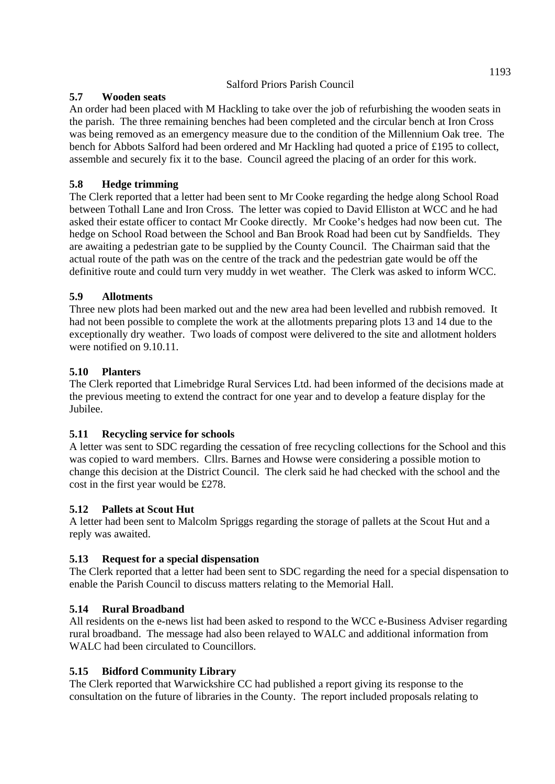## **5.7 Wooden seats**

An order had been placed with M Hackling to take over the job of refurbishing the wooden seats in the parish. The three remaining benches had been completed and the circular bench at Iron Cross was being removed as an emergency measure due to the condition of the Millennium Oak tree. The bench for Abbots Salford had been ordered and Mr Hackling had quoted a price of £195 to collect, assemble and securely fix it to the base. Council agreed the placing of an order for this work.

# **5.8 Hedge trimming**

The Clerk reported that a letter had been sent to Mr Cooke regarding the hedge along School Road between Tothall Lane and Iron Cross. The letter was copied to David Elliston at WCC and he had asked their estate officer to contact Mr Cooke directly. Mr Cooke's hedges had now been cut. The hedge on School Road between the School and Ban Brook Road had been cut by Sandfields. They are awaiting a pedestrian gate to be supplied by the County Council. The Chairman said that the actual route of the path was on the centre of the track and the pedestrian gate would be off the definitive route and could turn very muddy in wet weather. The Clerk was asked to inform WCC.

# **5.9 Allotments**

Three new plots had been marked out and the new area had been levelled and rubbish removed. It had not been possible to complete the work at the allotments preparing plots 13 and 14 due to the exceptionally dry weather. Two loads of compost were delivered to the site and allotment holders were notified on 9.10.11.

# **5.10 Planters**

The Clerk reported that Limebridge Rural Services Ltd. had been informed of the decisions made at the previous meeting to extend the contract for one year and to develop a feature display for the Jubilee.

# **5.11 Recycling service for schools**

A letter was sent to SDC regarding the cessation of free recycling collections for the School and this was copied to ward members. Cllrs. Barnes and Howse were considering a possible motion to change this decision at the District Council. The clerk said he had checked with the school and the cost in the first year would be £278.

# **5.12 Pallets at Scout Hut**

A letter had been sent to Malcolm Spriggs regarding the storage of pallets at the Scout Hut and a reply was awaited.

# **5.13 Request for a special dispensation**

The Clerk reported that a letter had been sent to SDC regarding the need for a special dispensation to enable the Parish Council to discuss matters relating to the Memorial Hall.

# **5.14 Rural Broadband**

All residents on the e-news list had been asked to respond to the WCC e-Business Adviser regarding rural broadband. The message had also been relayed to WALC and additional information from WALC had been circulated to Councillors.

# **5.15 Bidford Community Library**

The Clerk reported that Warwickshire CC had published a report giving its response to the consultation on the future of libraries in the County. The report included proposals relating to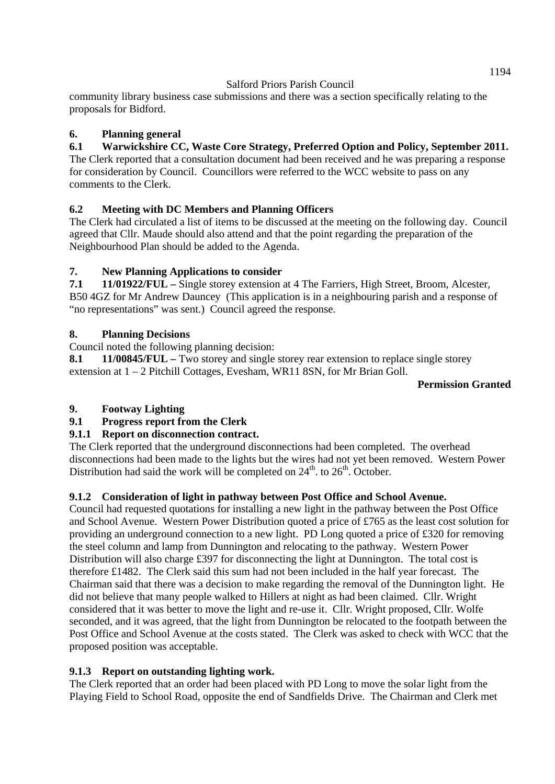community library business case submissions and there was a section specifically relating to the proposals for Bidford.

## **6. Planning general**

## **6.1 Warwickshire CC, Waste Core Strategy, Preferred Option and Policy, September 2011.**

The Clerk reported that a consultation document had been received and he was preparing a response for consideration by Council. Councillors were referred to the WCC website to pass on any comments to the Clerk.

## **6.2 Meeting with DC Members and Planning Officers**

The Clerk had circulated a list of items to be discussed at the meeting on the following day. Council agreed that Cllr. Maude should also attend and that the point regarding the preparation of the Neighbourhood Plan should be added to the Agenda.

## **7. New Planning Applications to consider**

**7.1 11/01922/FUL –** Single storey extension at 4 The Farriers, High Street, Broom, Alcester, B50 4GZ for Mr Andrew Dauncey (This application is in a neighbouring parish and a response of "no representations" was sent.) Council agreed the response.

## **8. Planning Decisions**

Council noted the following planning decision:

8.1 11/00845/FUL – Two storey and single storey rear extension to replace single storey extension at 1 – 2 Pitchill Cottages, Evesham, WR11 8SN, for Mr Brian Goll.

#### **Permission Granted**

## **9. Footway Lighting**

**9.1 Progress report from the Clerk** 

# **9.1.1 Report on disconnection contract.**

The Clerk reported that the underground disconnections had been completed. The overhead disconnections had been made to the lights but the wires had not yet been removed. Western Power Distribution had said the work will be completed on  $24<sup>th</sup>$ . to  $26<sup>th</sup>$ . October.

### **9.1.2 Consideration of light in pathway between Post Office and School Avenue.**

Council had requested quotations for installing a new light in the pathway between the Post Office and School Avenue. Western Power Distribution quoted a price of £765 as the least cost solution for providing an underground connection to a new light. PD Long quoted a price of £320 for removing the steel column and lamp from Dunnington and relocating to the pathway. Western Power Distribution will also charge £397 for disconnecting the light at Dunnington. The total cost is therefore £1482. The Clerk said this sum had not been included in the half year forecast. The Chairman said that there was a decision to make regarding the removal of the Dunnington light. He did not believe that many people walked to Hillers at night as had been claimed. Cllr. Wright considered that it was better to move the light and re-use it. Cllr. Wright proposed, Cllr. Wolfe seconded, and it was agreed, that the light from Dunnington be relocated to the footpath between the Post Office and School Avenue at the costs stated. The Clerk was asked to check with WCC that the proposed position was acceptable.

### **9.1.3 Report on outstanding lighting work.**

The Clerk reported that an order had been placed with PD Long to move the solar light from the Playing Field to School Road, opposite the end of Sandfields Drive. The Chairman and Clerk met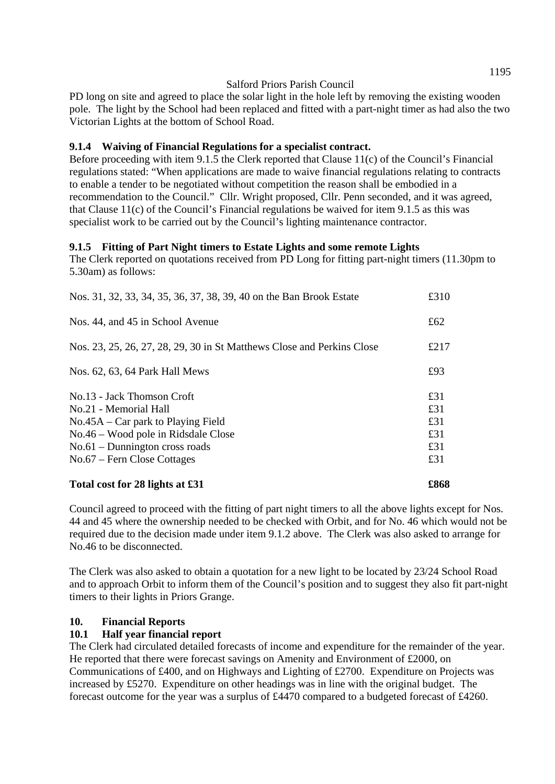PD long on site and agreed to place the solar light in the hole left by removing the existing wooden pole. The light by the School had been replaced and fitted with a part-night timer as had also the two Victorian Lights at the bottom of School Road.

### **9.1.4 Waiving of Financial Regulations for a specialist contract.**

Before proceeding with item 9.1.5 the Clerk reported that Clause 11(c) of the Council's Financial regulations stated: "When applications are made to waive financial regulations relating to contracts to enable a tender to be negotiated without competition the reason shall be embodied in a recommendation to the Council." Cllr. Wright proposed, Cllr. Penn seconded, and it was agreed, that Clause 11(c) of the Council's Financial regulations be waived for item 9.1.5 as this was specialist work to be carried out by the Council's lighting maintenance contractor.

#### **9.1.5 Fitting of Part Night timers to Estate Lights and some remote Lights**

The Clerk reported on quotations received from PD Long for fitting part-night timers (11.30pm to 5.30am) as follows:

| Total cost for 28 lights at £31                                        | £868 |
|------------------------------------------------------------------------|------|
| $No.67$ – Fern Close Cottages                                          | £31  |
| $No.61 - Dunnington cross roads$                                       | £31  |
| No.46 – Wood pole in Ridsdale Close                                    | £31  |
| $No.45A - Car$ park to Playing Field                                   | £31  |
| No.21 - Memorial Hall                                                  | £31  |
| No.13 - Jack Thomson Croft                                             | £31  |
| Nos. 62, 63, 64 Park Hall Mews                                         | £93  |
| Nos. 23, 25, 26, 27, 28, 29, 30 in St Matthews Close and Perkins Close | £217 |
| Nos. 44, and 45 in School Avenue                                       | £62  |
| Nos. 31, 32, 33, 34, 35, 36, 37, 38, 39, 40 on the Ban Brook Estate    | £310 |

Council agreed to proceed with the fitting of part night timers to all the above lights except for Nos. 44 and 45 where the ownership needed to be checked with Orbit, and for No. 46 which would not be required due to the decision made under item 9.1.2 above. The Clerk was also asked to arrange for No.46 to be disconnected.

The Clerk was also asked to obtain a quotation for a new light to be located by 23/24 School Road and to approach Orbit to inform them of the Council's position and to suggest they also fit part-night timers to their lights in Priors Grange.

### **10. Financial Reports**

#### **10.1 Half year financial report**

The Clerk had circulated detailed forecasts of income and expenditure for the remainder of the year. He reported that there were forecast savings on Amenity and Environment of £2000, on Communications of £400, and on Highways and Lighting of £2700. Expenditure on Projects was increased by £5270. Expenditure on other headings was in line with the original budget. The forecast outcome for the year was a surplus of £4470 compared to a budgeted forecast of £4260.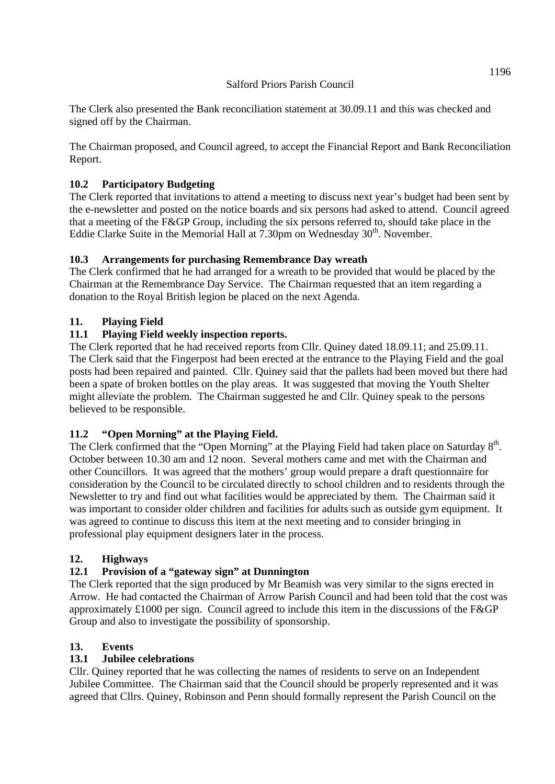The Clerk also presented the Bank reconciliation statement at 30.09.11 and this was checked and signed off by the Chairman.

The Chairman proposed, and Council agreed, to accept the Financial Report and Bank Reconciliation Report.

## **10.2 Participatory Budgeting**

The Clerk reported that invitations to attend a meeting to discuss next year's budget had been sent by the e-newsletter and posted on the notice boards and six persons had asked to attend. Council agreed that a meeting of the F&GP Group, including the six persons referred to, should take place in the Eddie Clarke Suite in the Memorial Hall at  $7.30 \text{pm}$  on Wednesday  $30^{\text{th}}$ . November.

### **10.3 Arrangements for purchasing Remembrance Day wreath**

The Clerk confirmed that he had arranged for a wreath to be provided that would be placed by the Chairman at the Remembrance Day Service. The Chairman requested that an item regarding a donation to the Royal British legion be placed on the next Agenda.

## **11. Playing Field**

## **11.1 Playing Field weekly inspection reports.**

The Clerk reported that he had received reports from Cllr. Quiney dated 18.09.11; and 25.09.11. The Clerk said that the Fingerpost had been erected at the entrance to the Playing Field and the goal posts had been repaired and painted. Cllr. Quiney said that the pallets had been moved but there had been a spate of broken bottles on the play areas. It was suggested that moving the Youth Shelter might alleviate the problem. The Chairman suggested he and Cllr. Quiney speak to the persons believed to be responsible.

### **11.2 "Open Morning" at the Playing Field.**

The Clerk confirmed that the "Open Morning" at the Playing Field had taken place on Saturday  $8<sup>th</sup>$ . October between 10.30 am and 12 noon. Several mothers came and met with the Chairman and other Councillors. It was agreed that the mothers' group would prepare a draft questionnaire for consideration by the Council to be circulated directly to school children and to residents through the Newsletter to try and find out what facilities would be appreciated by them. The Chairman said it was important to consider older children and facilities for adults such as outside gym equipment. It was agreed to continue to discuss this item at the next meeting and to consider bringing in professional play equipment designers later in the process.

### **12. Highways**

### **12.1 Provision of a "gateway sign" at Dunnington**

The Clerk reported that the sign produced by Mr Beamish was very similar to the signs erected in Arrow. He had contacted the Chairman of Arrow Parish Council and had been told that the cost was approximately £1000 per sign. Council agreed to include this item in the discussions of the F&GP Group and also to investigate the possibility of sponsorship.

### **13. Events**

### **13.1 Jubilee celebrations**

Cllr. Quiney reported that he was collecting the names of residents to serve on an Independent Jubilee Committee. The Chairman said that the Council should be properly represented and it was agreed that Cllrs. Quiney, Robinson and Penn should formally represent the Parish Council on the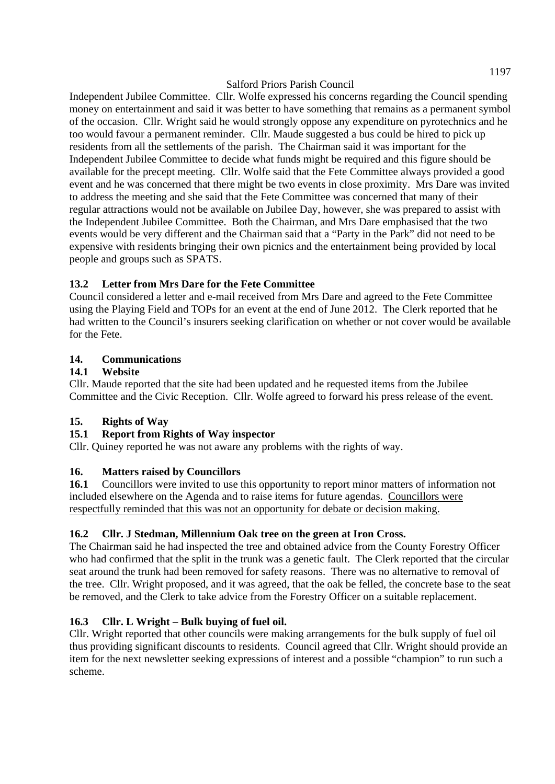Independent Jubilee Committee. Cllr. Wolfe expressed his concerns regarding the Council spending money on entertainment and said it was better to have something that remains as a permanent symbol of the occasion. Cllr. Wright said he would strongly oppose any expenditure on pyrotechnics and he too would favour a permanent reminder. Cllr. Maude suggested a bus could be hired to pick up residents from all the settlements of the parish. The Chairman said it was important for the Independent Jubilee Committee to decide what funds might be required and this figure should be available for the precept meeting. Cllr. Wolfe said that the Fete Committee always provided a good event and he was concerned that there might be two events in close proximity. Mrs Dare was invited to address the meeting and she said that the Fete Committee was concerned that many of their regular attractions would not be available on Jubilee Day, however, she was prepared to assist with the Independent Jubilee Committee. Both the Chairman, and Mrs Dare emphasised that the two events would be very different and the Chairman said that a "Party in the Park" did not need to be expensive with residents bringing their own picnics and the entertainment being provided by local people and groups such as SPATS.

# **13.2 Letter from Mrs Dare for the Fete Committee**

Council considered a letter and e-mail received from Mrs Dare and agreed to the Fete Committee using the Playing Field and TOPs for an event at the end of June 2012. The Clerk reported that he had written to the Council's insurers seeking clarification on whether or not cover would be available for the Fete.

# **14. Communications**

## **14.1 Website**

Cllr. Maude reported that the site had been updated and he requested items from the Jubilee Committee and the Civic Reception. Cllr. Wolfe agreed to forward his press release of the event.

# **15. Rights of Way**

# **15.1 Report from Rights of Way inspector**

Cllr. Quiney reported he was not aware any problems with the rights of way.

# **16. Matters raised by Councillors**

**16.1** Councillors were invited to use this opportunity to report minor matters of information not included elsewhere on the Agenda and to raise items for future agendas. Councillors were respectfully reminded that this was not an opportunity for debate or decision making.

# **16.2 Cllr. J Stedman, Millennium Oak tree on the green at Iron Cross.**

The Chairman said he had inspected the tree and obtained advice from the County Forestry Officer who had confirmed that the split in the trunk was a genetic fault. The Clerk reported that the circular seat around the trunk had been removed for safety reasons. There was no alternative to removal of the tree. Cllr. Wright proposed, and it was agreed, that the oak be felled, the concrete base to the seat be removed, and the Clerk to take advice from the Forestry Officer on a suitable replacement.

# **16.3 Cllr. L Wright – Bulk buying of fuel oil.**

Cllr. Wright reported that other councils were making arrangements for the bulk supply of fuel oil thus providing significant discounts to residents. Council agreed that Cllr. Wright should provide an item for the next newsletter seeking expressions of interest and a possible "champion" to run such a scheme.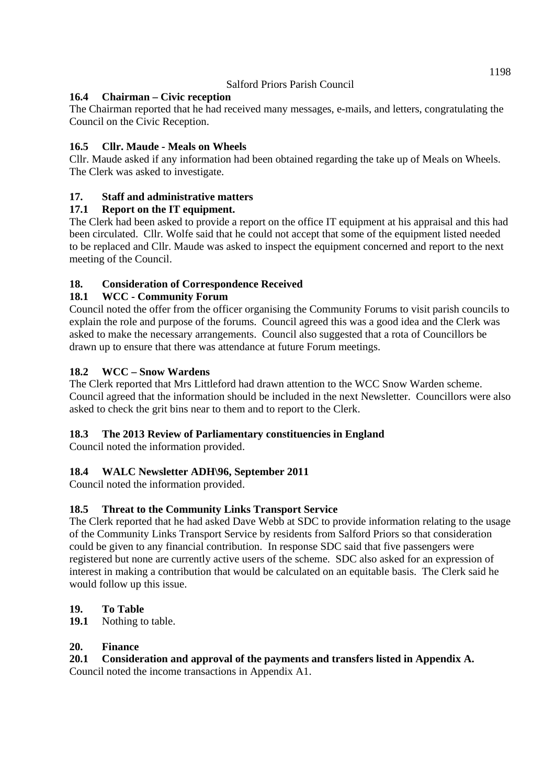# **16.4 Chairman – Civic reception**

The Chairman reported that he had received many messages, e-mails, and letters, congratulating the Council on the Civic Reception.

# **16.5 Cllr. Maude - Meals on Wheels**

Cllr. Maude asked if any information had been obtained regarding the take up of Meals on Wheels. The Clerk was asked to investigate.

# **17. Staff and administrative matters**

# **17.1 Report on the IT equipment.**

The Clerk had been asked to provide a report on the office IT equipment at his appraisal and this had been circulated. Cllr. Wolfe said that he could not accept that some of the equipment listed needed to be replaced and Cllr. Maude was asked to inspect the equipment concerned and report to the next meeting of the Council.

# **18. Consideration of Correspondence Received**

# **18.1 WCC - Community Forum**

Council noted the offer from the officer organising the Community Forums to visit parish councils to explain the role and purpose of the forums. Council agreed this was a good idea and the Clerk was asked to make the necessary arrangements. Council also suggested that a rota of Councillors be drawn up to ensure that there was attendance at future Forum meetings.

# **18.2 WCC – Snow Wardens**

The Clerk reported that Mrs Littleford had drawn attention to the WCC Snow Warden scheme. Council agreed that the information should be included in the next Newsletter. Councillors were also asked to check the grit bins near to them and to report to the Clerk.

# **18.3 The 2013 Review of Parliamentary constituencies in England**

Council noted the information provided.

# **18.4 WALC Newsletter ADH\96, September 2011**

Council noted the information provided.

# **18.5 Threat to the Community Links Transport Service**

The Clerk reported that he had asked Dave Webb at SDC to provide information relating to the usage of the Community Links Transport Service by residents from Salford Priors so that consideration could be given to any financial contribution. In response SDC said that five passengers were registered but none are currently active users of the scheme. SDC also asked for an expression of interest in making a contribution that would be calculated on an equitable basis. The Clerk said he would follow up this issue.

# **19. To Table**

**19.1** Nothing to table.

# **20. Finance**

# **20.1 Consideration and approval of the payments and transfers listed in Appendix A.**

Council noted the income transactions in Appendix A1.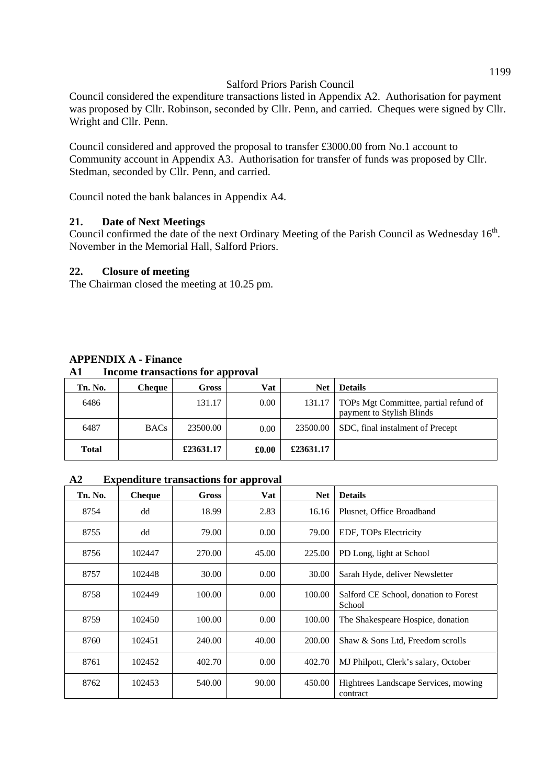Council considered the expenditure transactions listed in Appendix A2. Authorisation for payment was proposed by Cllr. Robinson, seconded by Cllr. Penn, and carried. Cheques were signed by Cllr. Wright and Cllr. Penn.

Council considered and approved the proposal to transfer £3000.00 from No.1 account to Community account in Appendix A3. Authorisation for transfer of funds was proposed by Cllr. Stedman, seconded by Cllr. Penn, and carried.

Council noted the bank balances in Appendix A4.

#### **21. Date of Next Meetings**

Council confirmed the date of the next Ordinary Meeting of the Parish Council as Wednesday  $16^{th}$ . November in the Memorial Hall, Salford Priors.

#### **22. Closure of meeting**

The Chairman closed the meeting at 10.25 pm.

#### **APPENDIX A - Finance A1 Income transactions for approval**

| Tn. No.      | <b>Cheque</b> | Gross     | Vat   | <b>Net</b> | <b>Details</b>                                                     |
|--------------|---------------|-----------|-------|------------|--------------------------------------------------------------------|
| 6486         |               | 131.17    | 0.00  | 131.17     | TOPs Mgt Committee, partial refund of<br>payment to Stylish Blinds |
| 6487         | <b>BACs</b>   | 23500.00  | 0.00  | 23500.00   | SDC, final instalment of Precept                                   |
| <b>Total</b> |               | £23631.17 | £0.00 | £23631.17  |                                                                    |

#### **A2 Expenditure transactions for approval**

| Tn. No. | <b>Cheque</b> | Gross  | Vat   | <b>Net</b> | <b>Details</b>                                   |
|---------|---------------|--------|-------|------------|--------------------------------------------------|
| 8754    | dd            | 18.99  | 2.83  | 16.16      | Plusnet, Office Broadband                        |
| 8755    | dd            | 79.00  | 0.00  | 79.00      | EDF, TOPs Electricity                            |
| 8756    | 102447        | 270.00 | 45.00 | 225.00     | PD Long, light at School                         |
| 8757    | 102448        | 30.00  | 0.00  | 30.00      | Sarah Hyde, deliver Newsletter                   |
| 8758    | 102449        | 100.00 | 0.00  | 100.00     | Salford CE School, donation to Forest<br>School  |
| 8759    | 102450        | 100.00 | 0.00  | 100.00     | The Shakespeare Hospice, donation                |
| 8760    | 102451        | 240.00 | 40.00 | 200.00     | Shaw & Sons Ltd, Freedom scrolls                 |
| 8761    | 102452        | 402.70 | 0.00  | 402.70     | MJ Philpott, Clerk's salary, October             |
| 8762    | 102453        | 540.00 | 90.00 | 450.00     | Hightrees Landscape Services, mowing<br>contract |